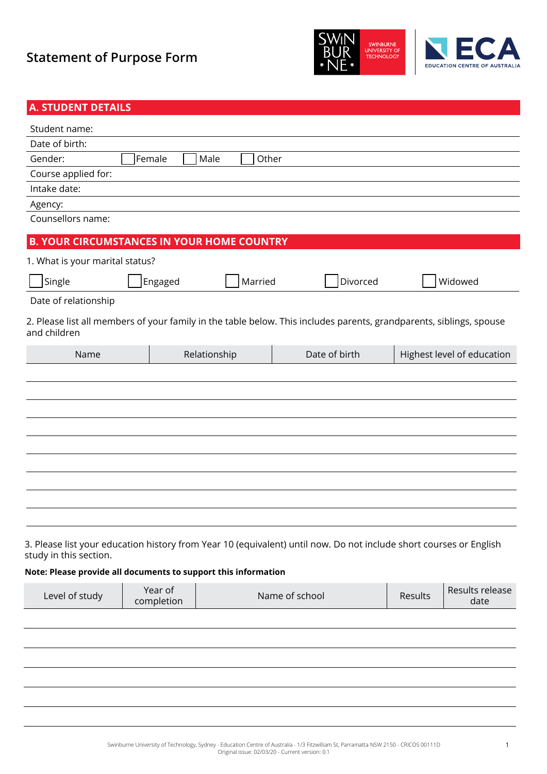



| <b>A. STUDENT DETAILS</b>                                      |                       |               |                                                                                                                     |                |                            |
|----------------------------------------------------------------|-----------------------|---------------|---------------------------------------------------------------------------------------------------------------------|----------------|----------------------------|
| Student name:                                                  |                       |               |                                                                                                                     |                |                            |
| Date of birth:                                                 |                       |               |                                                                                                                     |                |                            |
| Gender:                                                        | Female                | Male<br>Other |                                                                                                                     |                |                            |
| Course applied for:                                            |                       |               |                                                                                                                     |                |                            |
| Intake date:                                                   |                       |               |                                                                                                                     |                |                            |
| Agency:                                                        |                       |               |                                                                                                                     |                |                            |
| Counsellors name:                                              |                       |               |                                                                                                                     |                |                            |
| <b>B. YOUR CIRCUMSTANCES IN YOUR HOME COUNTRY</b>              |                       |               |                                                                                                                     |                |                            |
| 1. What is your marital status?                                |                       |               |                                                                                                                     |                |                            |
| Single                                                         | Engaged               | Married       | Divorced                                                                                                            |                | Widowed                    |
| Date of relationship                                           |                       |               |                                                                                                                     |                |                            |
| and children                                                   |                       |               | 2. Please list all members of your family in the table below. This includes parents, grandparents, siblings, spouse |                |                            |
| Name                                                           |                       | Relationship  | Date of birth                                                                                                       |                | Highest level of education |
|                                                                |                       |               |                                                                                                                     |                |                            |
|                                                                |                       |               |                                                                                                                     |                |                            |
|                                                                |                       |               |                                                                                                                     |                |                            |
|                                                                |                       |               |                                                                                                                     |                |                            |
|                                                                |                       |               |                                                                                                                     |                |                            |
|                                                                |                       |               |                                                                                                                     |                |                            |
|                                                                |                       |               |                                                                                                                     |                |                            |
|                                                                |                       |               |                                                                                                                     |                |                            |
|                                                                |                       |               |                                                                                                                     |                |                            |
|                                                                |                       |               |                                                                                                                     |                |                            |
|                                                                |                       |               |                                                                                                                     |                |                            |
| study in this section.                                         |                       |               | 3. Please list your education history from Year 10 (equivalent) until now. Do not include short courses or English  |                |                            |
| Note: Please provide all documents to support this information |                       |               |                                                                                                                     |                |                            |
| Level of study                                                 | Year of<br>completion |               | Name of school                                                                                                      | <b>Results</b> | Results release<br>date    |
|                                                                |                       |               |                                                                                                                     |                |                            |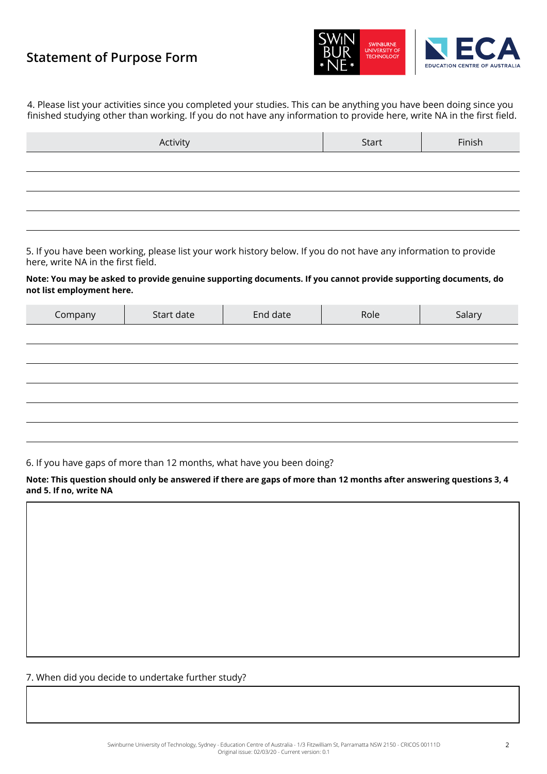

4. Please list your activities since you completed your studies. This can be anything you have been doing since you finished studying other than working. If you do not have any information to provide here, write NA in the first field.

| Activity | Start | Finish |
|----------|-------|--------|
|          |       |        |
|          |       |        |
|          |       |        |
|          |       |        |

5. If you have been working, please list your work history below. If you do not have any information to provide here, write NA in the first field.

#### **Note: You may be asked to provide genuine supporting documents. If you cannot provide supporting documents, do not list employment here.**

| Company | Start date | End date | Role | Salary |
|---------|------------|----------|------|--------|
|         |            |          |      |        |
|         |            |          |      |        |
|         |            |          |      |        |
|         |            |          |      |        |
|         |            |          |      |        |
|         |            |          |      |        |

#### 6. If you have gaps of more than 12 months, what have you been doing?

#### **Note: This question should only be answered if there are gaps of more than 12 months after answering questions 3, 4 and 5. If no, write NA**

7. When did you decide to undertake further study?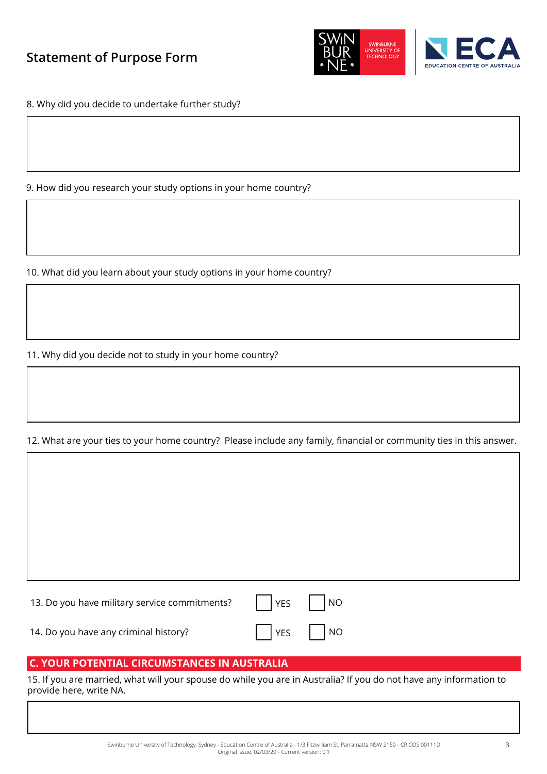



8. Why did you decide to undertake further study?

9. How did you research your study options in your home country?

10. What did you learn about your study options in your home country?

11. Why did you decide not to study in your home country?

### 12. What are your ties to your home country? Please include any family, financial or community ties in this answer.

| 13. Do you have military service commitments?     YES     NO |                                      |  |
|--------------------------------------------------------------|--------------------------------------|--|
| 14. Do you have any criminal history?                        | $\sqrt{1 + 2}$ YES $\sqrt{1 + 2}$ NO |  |

### **C. YOUR POTENTIAL CIRCUMSTANCES IN AUSTRALIA**

15. If you are married, what will your spouse do while you are in Australia? If you do not have any information to provide here, write NA.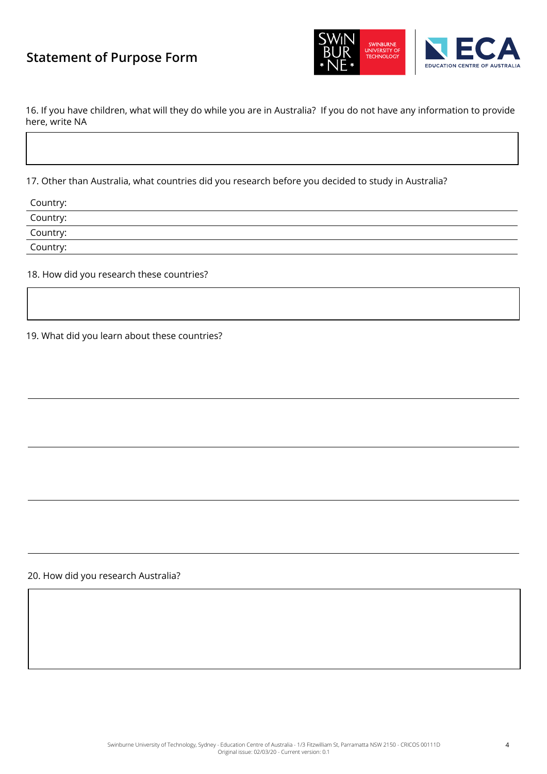

16. If you have children, what will they do while you are in Australia? If you do not have any information to provide here, write NA

17. Other than Australia, what countries did you research before you decided to study in Australia?

| Country: |  |
|----------|--|
| Country: |  |
| Country: |  |
| Country: |  |
|          |  |

18. How did you research these countries?

19. What did you learn about these countries?

20. How did you research Australia?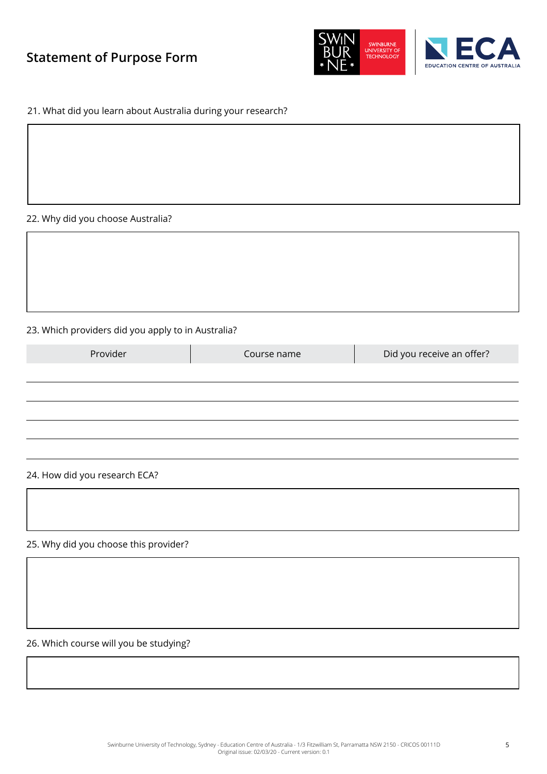



#### 21. What did you learn about Australia during your research?

#### 22. Why did you choose Australia?

#### 23. Which providers did you apply to in Australia?

| Provider | Course name | Did you receive an offer? |
|----------|-------------|---------------------------|
|          |             |                           |
|          |             |                           |
|          |             |                           |
|          |             |                           |

#### 24. How did you research ECA?

25. Why did you choose this provider?

26. Which course will you be studying?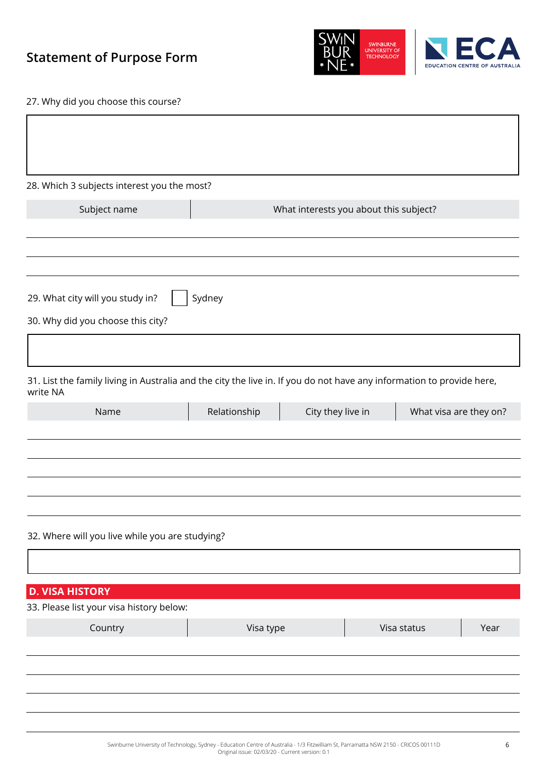



27. Why did you choose this course?

| 28. Which 3 subjects interest you the most?                                                                                       |              |                                        |             |                        |
|-----------------------------------------------------------------------------------------------------------------------------------|--------------|----------------------------------------|-------------|------------------------|
| Subject name                                                                                                                      |              | What interests you about this subject? |             |                        |
|                                                                                                                                   |              |                                        |             |                        |
|                                                                                                                                   |              |                                        |             |                        |
| 29. What city will you study in?                                                                                                  | Sydney       |                                        |             |                        |
| 30. Why did you choose this city?                                                                                                 |              |                                        |             |                        |
|                                                                                                                                   |              |                                        |             |                        |
| 31. List the family living in Australia and the city the live in. If you do not have any information to provide here,<br>write NA |              |                                        |             |                        |
| Name                                                                                                                              | Relationship | City they live in                      |             | What visa are they on? |
| 32. Where will you live while you are studying?                                                                                   |              |                                        |             |                        |
|                                                                                                                                   |              |                                        |             |                        |
| <b>D. VISA HISTORY</b>                                                                                                            |              |                                        |             |                        |
| 33. Please list your visa history below:                                                                                          |              |                                        |             |                        |
| Country                                                                                                                           | Visa type    |                                        | Visa status | Year                   |
|                                                                                                                                   |              |                                        |             |                        |
|                                                                                                                                   |              |                                        |             |                        |
|                                                                                                                                   |              |                                        |             |                        |
|                                                                                                                                   |              |                                        |             |                        |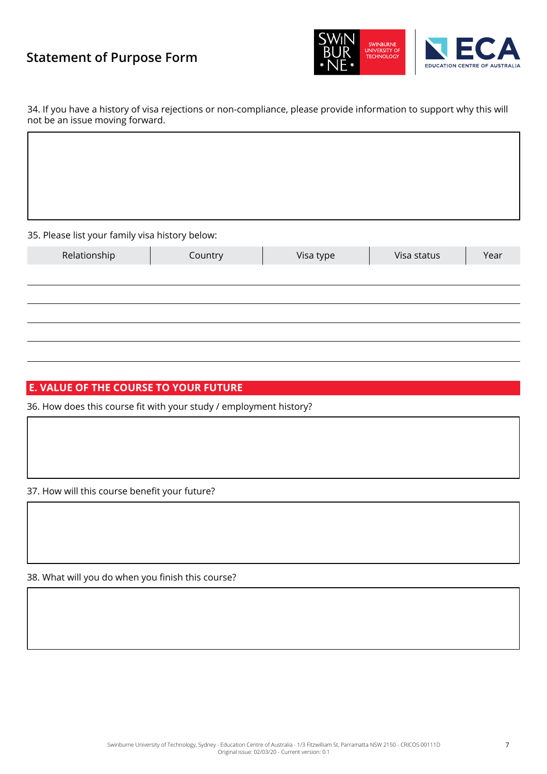



34. If you have a history of visa rejections or non-compliance, please provide information to support why this will not be an issue moving forward.

35. Please list your family visa history below:

| -<br>-       | -       |           |             |      |
|--------------|---------|-----------|-------------|------|
| Relationship | Country | Visa type | Visa status | Year |
|              |         |           |             |      |
|              |         |           |             |      |
|              |         |           |             |      |
|              |         |           |             |      |
|              |         |           |             |      |

### **E. VALUE OF THE COURSE TO YOUR FUTURE**

36. How does this course fit with your study / employment history?

37. How will this course benefit your future?

38. What will you do when you finish this course?